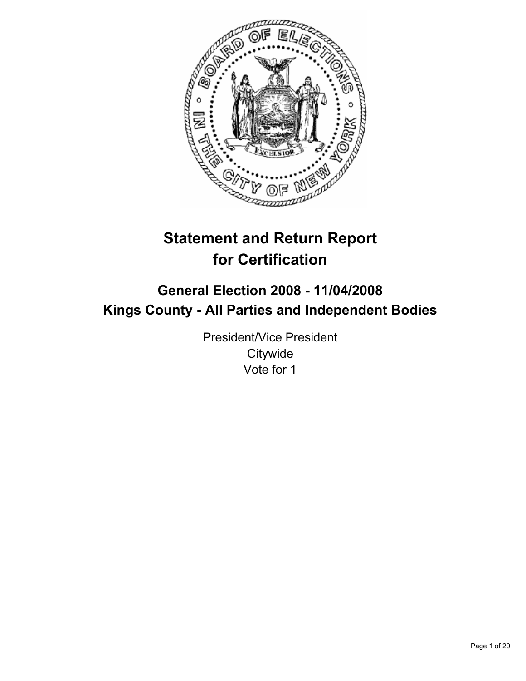

# **Statement and Return Report for Certification**

## **General Election 2008 - 11/04/2008 Kings County - All Parties and Independent Bodies**

President/Vice President **Citywide** Vote for 1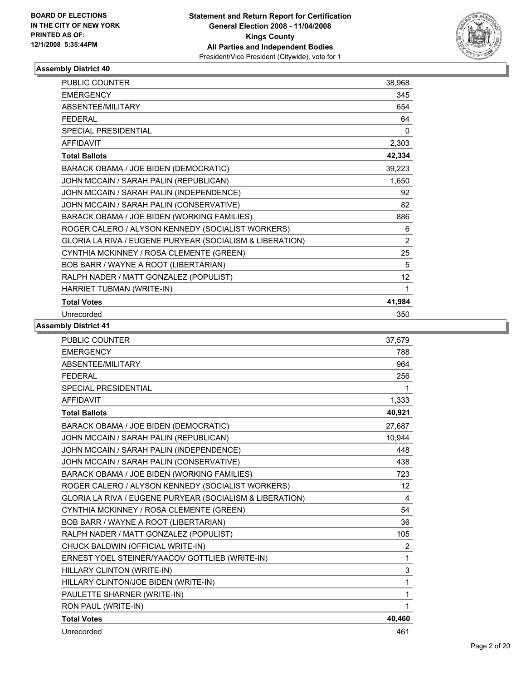

| <b>PUBLIC COUNTER</b>                                    | 38,968         |  |
|----------------------------------------------------------|----------------|--|
| <b>EMERGENCY</b>                                         | 345            |  |
| ABSENTEE/MILITARY                                        | 654            |  |
| <b>FEDERAL</b>                                           | 64             |  |
| <b>SPECIAL PRESIDENTIAL</b>                              | 0              |  |
| <b>AFFIDAVIT</b>                                         | 2,303          |  |
| <b>Total Ballots</b>                                     | 42,334         |  |
| BARACK OBAMA / JOE BIDEN (DEMOCRATIC)                    | 39,223         |  |
| JOHN MCCAIN / SARAH PALIN (REPUBLICAN)                   | 1,650          |  |
| JOHN MCCAIN / SARAH PALIN (INDEPENDENCE)                 | 92             |  |
| JOHN MCCAIN / SARAH PALIN (CONSERVATIVE)                 | 82             |  |
| BARACK OBAMA / JOE BIDEN (WORKING FAMILIES)              | 886            |  |
| ROGER CALERO / ALYSON KENNEDY (SOCIALIST WORKERS)        | 6              |  |
| GLORIA LA RIVA / EUGENE PURYEAR (SOCIALISM & LIBERATION) | $\overline{2}$ |  |
| CYNTHIA MCKINNEY / ROSA CLEMENTE (GREEN)                 | 25             |  |
| BOB BARR / WAYNE A ROOT (LIBERTARIAN)                    | 5              |  |
| RALPH NADER / MATT GONZALEZ (POPULIST)                   | 12             |  |
| HARRIET TUBMAN (WRITE-IN)                                | 1              |  |
| <b>Total Votes</b>                                       | 41,984         |  |
| Unrecorded                                               | 350            |  |

| <b>PUBLIC COUNTER</b>                                    | 37.579         |
|----------------------------------------------------------|----------------|
| <b>EMERGENCY</b>                                         | 788            |
| ABSENTEE/MILITARY                                        | 964            |
| <b>FEDERAL</b>                                           | 256            |
| <b>SPECIAL PRESIDENTIAL</b>                              | 1              |
| <b>AFFIDAVIT</b>                                         | 1,333          |
| <b>Total Ballots</b>                                     | 40.921         |
| BARACK OBAMA / JOE BIDEN (DEMOCRATIC)                    | 27.687         |
| JOHN MCCAIN / SARAH PALIN (REPUBLICAN)                   | 10,944         |
| JOHN MCCAIN / SARAH PALIN (INDEPENDENCE)                 | 448            |
| JOHN MCCAIN / SARAH PALIN (CONSERVATIVE)                 | 438            |
| BARACK OBAMA / JOE BIDEN (WORKING FAMILIES)              | 723            |
| ROGER CALERO / ALYSON KENNEDY (SOCIALIST WORKERS)        | 12             |
| GLORIA LA RIVA / EUGENE PURYEAR (SOCIALISM & LIBERATION) | 4              |
| CYNTHIA MCKINNEY / ROSA CLEMENTE (GREEN)                 | 54             |
| BOB BARR / WAYNE A ROOT (LIBERTARIAN)                    | 36             |
| RALPH NADER / MATT GONZALEZ (POPULIST)                   | 105            |
| CHUCK BALDWIN (OFFICIAL WRITE-IN)                        | $\overline{2}$ |
| ERNEST YOEL STEINER/YAACOV GOTTLIEB (WRITE-IN)           | 1              |
| HILLARY CLINTON (WRITE-IN)                               | 3              |
| HILLARY CLINTON/JOE BIDEN (WRITE-IN)                     | 1              |
| PAULETTE SHARNER (WRITE-IN)                              | 1              |
| RON PAUL (WRITE-IN)                                      | 1              |
| <b>Total Votes</b>                                       | 40,460         |
| Unrecorded                                               | 461            |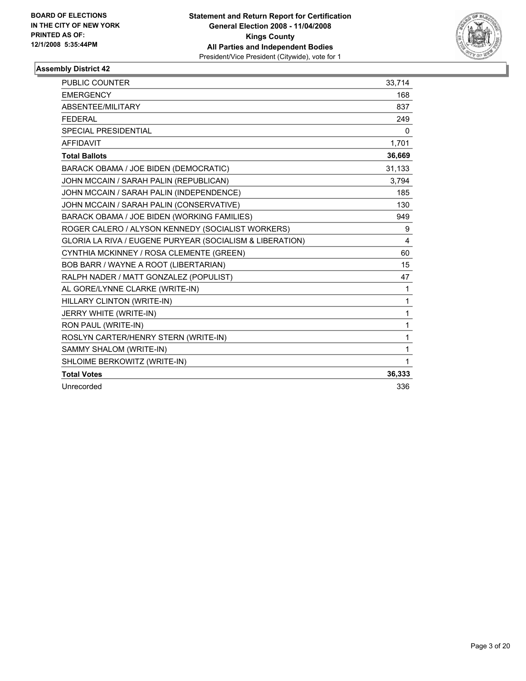

| PUBLIC COUNTER                                           | 33,714 |
|----------------------------------------------------------|--------|
| <b>EMERGENCY</b>                                         | 168    |
| ABSENTEE/MILITARY                                        | 837    |
| <b>FEDERAL</b>                                           | 249    |
| SPECIAL PRESIDENTIAL                                     | 0      |
| <b>AFFIDAVIT</b>                                         | 1,701  |
| <b>Total Ballots</b>                                     | 36,669 |
| BARACK OBAMA / JOE BIDEN (DEMOCRATIC)                    | 31,133 |
| JOHN MCCAIN / SARAH PALIN (REPUBLICAN)                   | 3.794  |
| JOHN MCCAIN / SARAH PALIN (INDEPENDENCE)                 | 185    |
| JOHN MCCAIN / SARAH PALIN (CONSERVATIVE)                 | 130    |
| BARACK OBAMA / JOE BIDEN (WORKING FAMILIES)              | 949    |
| ROGER CALERO / ALYSON KENNEDY (SOCIALIST WORKERS)        | 9      |
| GLORIA LA RIVA / EUGENE PURYEAR (SOCIALISM & LIBERATION) | 4      |
| CYNTHIA MCKINNEY / ROSA CLEMENTE (GREEN)                 | 60     |
| BOB BARR / WAYNE A ROOT (LIBERTARIAN)                    | 15     |
| RALPH NADER / MATT GONZALEZ (POPULIST)                   | 47     |
| AL GORE/LYNNE CLARKE (WRITE-IN)                          | 1      |
| HILLARY CLINTON (WRITE-IN)                               | 1      |
| JERRY WHITE (WRITE-IN)                                   | 1      |
| RON PAUL (WRITE-IN)                                      | 1      |
| ROSLYN CARTER/HENRY STERN (WRITE-IN)                     | 1      |
| SAMMY SHALOM (WRITE-IN)                                  | 1      |
| SHLOIME BERKOWITZ (WRITE-IN)                             | 1      |
| <b>Total Votes</b>                                       | 36,333 |
| Unrecorded                                               | 336    |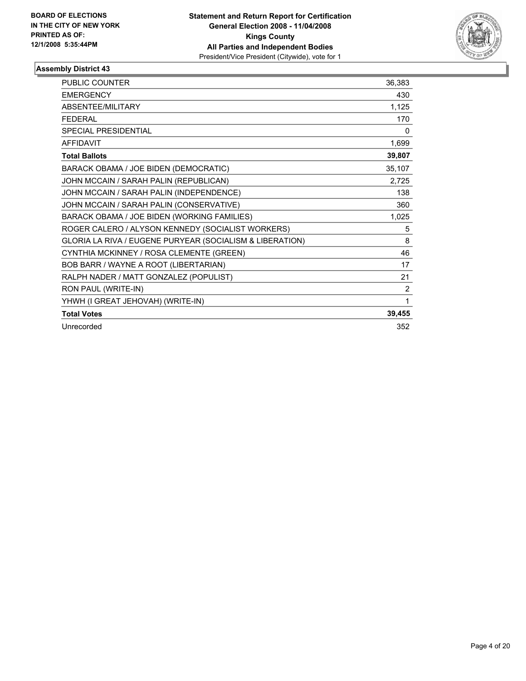

| <b>PUBLIC COUNTER</b>                                    | 36,383         |
|----------------------------------------------------------|----------------|
| <b>EMERGENCY</b>                                         | 430            |
| <b>ABSENTEE/MILITARY</b>                                 | 1,125          |
| <b>FFDFRAL</b>                                           | 170            |
| <b>SPECIAL PRESIDENTIAL</b>                              | 0              |
| <b>AFFIDAVIT</b>                                         | 1,699          |
| <b>Total Ballots</b>                                     | 39,807         |
| BARACK OBAMA / JOE BIDEN (DEMOCRATIC)                    | 35,107         |
| JOHN MCCAIN / SARAH PALIN (REPUBLICAN)                   | 2,725          |
| JOHN MCCAIN / SARAH PALIN (INDEPENDENCE)                 | 138            |
| JOHN MCCAIN / SARAH PALIN (CONSERVATIVE)                 | 360            |
| BARACK OBAMA / JOE BIDEN (WORKING FAMILIES)              | 1,025          |
| ROGER CALERO / ALYSON KENNEDY (SOCIALIST WORKERS)        | 5              |
| GLORIA LA RIVA / EUGENE PURYEAR (SOCIALISM & LIBERATION) | 8              |
| CYNTHIA MCKINNEY / ROSA CLEMENTE (GREEN)                 | 46             |
| BOB BARR / WAYNE A ROOT (LIBERTARIAN)                    | 17             |
| RALPH NADER / MATT GONZALEZ (POPULIST)                   | 21             |
| RON PAUL (WRITE-IN)                                      | $\overline{2}$ |
| YHWH (I GREAT JEHOVAH) (WRITE-IN)                        | 1              |
| <b>Total Votes</b>                                       | 39,455         |
| Unrecorded                                               | 352            |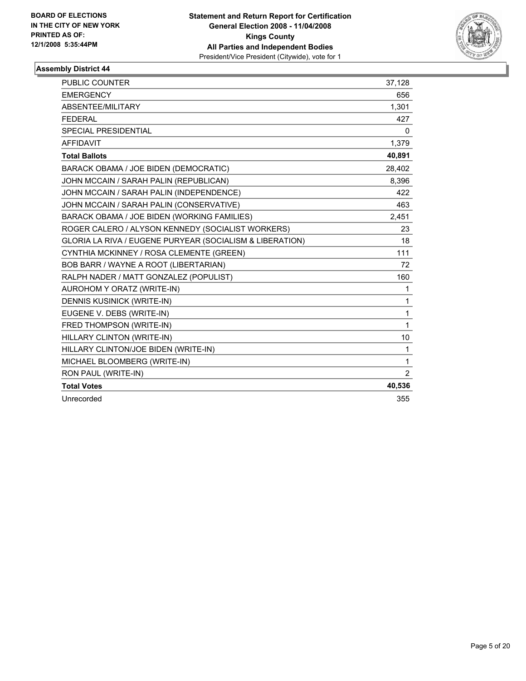

| PUBLIC COUNTER                                           | 37,128         |
|----------------------------------------------------------|----------------|
| <b>EMERGENCY</b>                                         | 656            |
| ABSENTEE/MILITARY                                        | 1,301          |
| <b>FEDERAL</b>                                           | 427            |
| <b>SPECIAL PRESIDENTIAL</b>                              | 0              |
| <b>AFFIDAVIT</b>                                         | 1,379          |
| <b>Total Ballots</b>                                     | 40,891         |
| BARACK OBAMA / JOE BIDEN (DEMOCRATIC)                    | 28,402         |
| JOHN MCCAIN / SARAH PALIN (REPUBLICAN)                   | 8.396          |
| JOHN MCCAIN / SARAH PALIN (INDEPENDENCE)                 | 422            |
| JOHN MCCAIN / SARAH PALIN (CONSERVATIVE)                 | 463            |
| BARACK OBAMA / JOE BIDEN (WORKING FAMILIES)              | 2,451          |
| ROGER CALERO / ALYSON KENNEDY (SOCIALIST WORKERS)        | 23             |
| GLORIA LA RIVA / EUGENE PURYEAR (SOCIALISM & LIBERATION) | 18             |
| CYNTHIA MCKINNEY / ROSA CLEMENTE (GREEN)                 | 111            |
| BOB BARR / WAYNE A ROOT (LIBERTARIAN)                    | 72             |
| RALPH NADER / MATT GONZALEZ (POPULIST)                   | 160            |
| AUROHOM Y ORATZ (WRITE-IN)                               | 1              |
| <b>DENNIS KUSINICK (WRITE-IN)</b>                        | 1              |
| EUGENE V. DEBS (WRITE-IN)                                | 1              |
| FRED THOMPSON (WRITE-IN)                                 | 1              |
| HILLARY CLINTON (WRITE-IN)                               | 10             |
| HILLARY CLINTON/JOE BIDEN (WRITE-IN)                     | 1              |
| MICHAEL BLOOMBERG (WRITE-IN)                             | 1              |
| RON PAUL (WRITE-IN)                                      | $\overline{2}$ |
| <b>Total Votes</b>                                       | 40,536         |
| Unrecorded                                               | 355            |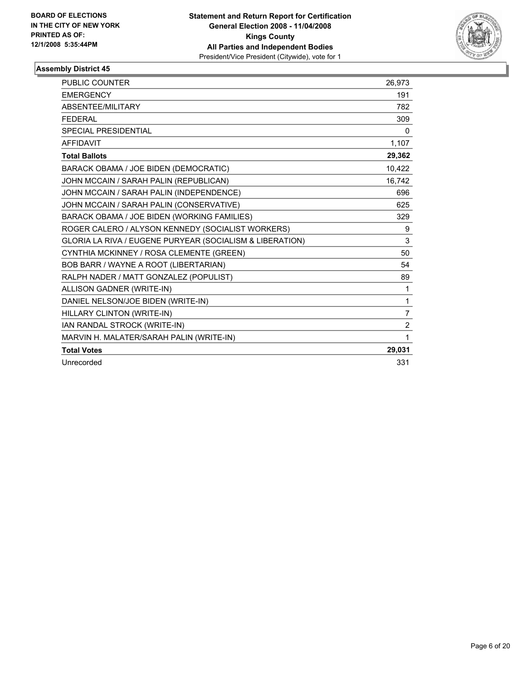

| PUBLIC COUNTER                                           | 26,973         |
|----------------------------------------------------------|----------------|
| <b>EMERGENCY</b>                                         | 191            |
| ABSENTEE/MILITARY                                        | 782            |
| <b>FEDERAL</b>                                           | 309            |
| <b>SPECIAL PRESIDENTIAL</b>                              | $\mathbf{0}$   |
| <b>AFFIDAVIT</b>                                         | 1,107          |
| <b>Total Ballots</b>                                     | 29,362         |
| BARACK OBAMA / JOE BIDEN (DEMOCRATIC)                    | 10,422         |
| JOHN MCCAIN / SARAH PALIN (REPUBLICAN)                   | 16.742         |
| JOHN MCCAIN / SARAH PALIN (INDEPENDENCE)                 | 696            |
| JOHN MCCAIN / SARAH PALIN (CONSERVATIVE)                 | 625            |
| BARACK OBAMA / JOE BIDEN (WORKING FAMILIES)              | 329            |
| ROGER CALERO / ALYSON KENNEDY (SOCIALIST WORKERS)        | 9              |
| GLORIA LA RIVA / EUGENE PURYEAR (SOCIALISM & LIBERATION) | 3              |
| CYNTHIA MCKINNEY / ROSA CLEMENTE (GREEN)                 | 50             |
| BOB BARR / WAYNE A ROOT (LIBERTARIAN)                    | 54             |
| RALPH NADER / MATT GONZALEZ (POPULIST)                   | 89             |
| ALLISON GADNER (WRITE-IN)                                | 1              |
| DANIEL NELSON/JOE BIDEN (WRITE-IN)                       | 1              |
| HILLARY CLINTON (WRITE-IN)                               | $\overline{7}$ |
| IAN RANDAL STROCK (WRITE-IN)                             | $\overline{2}$ |
| MARVIN H. MALATER/SARAH PALIN (WRITE-IN)                 | 1              |
| <b>Total Votes</b>                                       | 29,031         |
| Unrecorded                                               | 331            |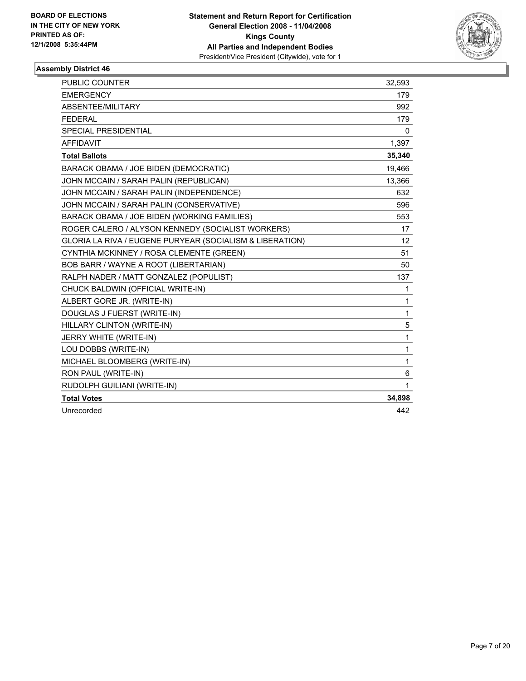

| <b>PUBLIC COUNTER</b>                                    | 32,593          |
|----------------------------------------------------------|-----------------|
| <b>EMERGENCY</b>                                         | 179             |
| ABSENTEE/MILITARY                                        | 992             |
| <b>FEDERAL</b>                                           | 179             |
| <b>SPECIAL PRESIDENTIAL</b>                              | 0               |
| <b>AFFIDAVIT</b>                                         | 1,397           |
| <b>Total Ballots</b>                                     | 35,340          |
| BARACK OBAMA / JOE BIDEN (DEMOCRATIC)                    | 19,466          |
| JOHN MCCAIN / SARAH PALIN (REPUBLICAN)                   | 13,366          |
| JOHN MCCAIN / SARAH PALIN (INDEPENDENCE)                 | 632             |
| JOHN MCCAIN / SARAH PALIN (CONSERVATIVE)                 | 596             |
| BARACK OBAMA / JOE BIDEN (WORKING FAMILIES)              | 553             |
| ROGER CALERO / ALYSON KENNEDY (SOCIALIST WORKERS)        | 17              |
| GLORIA LA RIVA / EUGENE PURYEAR (SOCIALISM & LIBERATION) | 12 <sup>2</sup> |
| CYNTHIA MCKINNEY / ROSA CLEMENTE (GREEN)                 | 51              |
| BOB BARR / WAYNE A ROOT (LIBERTARIAN)                    | 50              |
| RALPH NADER / MATT GONZALEZ (POPULIST)                   | 137             |
| CHUCK BALDWIN (OFFICIAL WRITE-IN)                        | 1               |
| ALBERT GORE JR. (WRITE-IN)                               | 1               |
| DOUGLAS J FUERST (WRITE-IN)                              | 1               |
| HILLARY CLINTON (WRITE-IN)                               | 5               |
| JERRY WHITE (WRITE-IN)                                   | 1               |
| LOU DOBBS (WRITE-IN)                                     | 1               |
| MICHAEL BLOOMBERG (WRITE-IN)                             | 1               |
| RON PAUL (WRITE-IN)                                      | 6               |
| RUDOLPH GUILIANI (WRITE-IN)                              | 1               |
| <b>Total Votes</b>                                       | 34,898          |
| Unrecorded                                               | 442             |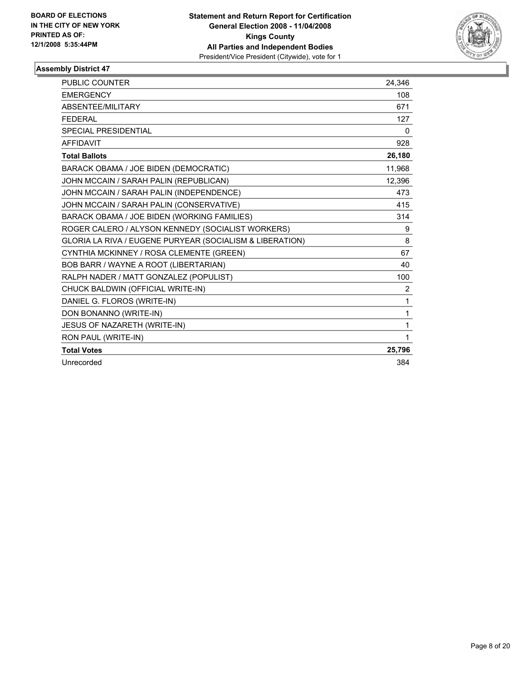

| PUBLIC COUNTER                                           | 24,346       |
|----------------------------------------------------------|--------------|
| <b>EMERGENCY</b>                                         | 108          |
| ABSENTEE/MILITARY                                        | 671          |
| <b>FEDERAL</b>                                           | 127          |
| SPECIAL PRESIDENTIAL                                     | $\mathbf{0}$ |
| <b>AFFIDAVIT</b>                                         | 928          |
| <b>Total Ballots</b>                                     | 26,180       |
| BARACK OBAMA / JOE BIDEN (DEMOCRATIC)                    | 11,968       |
| JOHN MCCAIN / SARAH PALIN (REPUBLICAN)                   | 12,396       |
| JOHN MCCAIN / SARAH PALIN (INDEPENDENCE)                 | 473          |
| JOHN MCCAIN / SARAH PALIN (CONSERVATIVE)                 | 415          |
| BARACK OBAMA / JOE BIDEN (WORKING FAMILIES)              | 314          |
| ROGER CALERO / ALYSON KENNEDY (SOCIALIST WORKERS)        | 9            |
| GLORIA LA RIVA / EUGENE PURYEAR (SOCIALISM & LIBERATION) | 8            |
| CYNTHIA MCKINNEY / ROSA CLEMENTE (GREEN)                 | 67           |
| BOB BARR / WAYNE A ROOT (LIBERTARIAN)                    | 40           |
| RALPH NADER / MATT GONZALEZ (POPULIST)                   | 100          |
| CHUCK BALDWIN (OFFICIAL WRITE-IN)                        | 2            |
| DANIEL G. FLOROS (WRITE-IN)                              | 1            |
| DON BONANNO (WRITE-IN)                                   | 1            |
| <b>JESUS OF NAZARETH (WRITE-IN)</b>                      | 1            |
| RON PAUL (WRITE-IN)                                      | 1            |
| <b>Total Votes</b>                                       | 25,796       |
| Unrecorded                                               | 384          |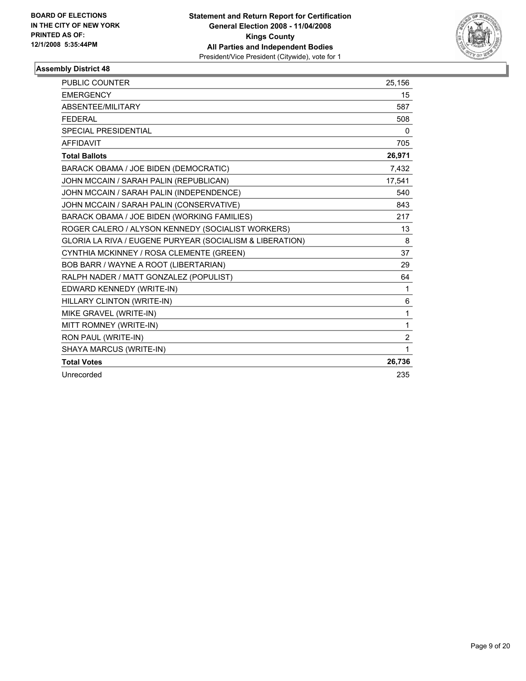

| PUBLIC COUNTER                                           | 25,156         |
|----------------------------------------------------------|----------------|
| <b>EMERGENCY</b>                                         | 15             |
| ABSENTEE/MILITARY                                        | 587            |
| <b>FEDERAL</b>                                           | 508            |
| SPECIAL PRESIDENTIAL                                     | 0              |
| <b>AFFIDAVIT</b>                                         | 705            |
| <b>Total Ballots</b>                                     | 26,971         |
| BARACK OBAMA / JOE BIDEN (DEMOCRATIC)                    | 7.432          |
| JOHN MCCAIN / SARAH PALIN (REPUBLICAN)                   | 17,541         |
| JOHN MCCAIN / SARAH PALIN (INDEPENDENCE)                 | 540            |
| JOHN MCCAIN / SARAH PALIN (CONSERVATIVE)                 | 843            |
| BARACK OBAMA / JOE BIDEN (WORKING FAMILIES)              | 217            |
| ROGER CALERO / ALYSON KENNEDY (SOCIALIST WORKERS)        | 13             |
| GLORIA LA RIVA / EUGENE PURYEAR (SOCIALISM & LIBERATION) | 8              |
| CYNTHIA MCKINNEY / ROSA CLEMENTE (GREEN)                 | 37             |
| BOB BARR / WAYNE A ROOT (LIBERTARIAN)                    | 29             |
| RALPH NADER / MATT GONZALEZ (POPULIST)                   | 64             |
| EDWARD KENNEDY (WRITE-IN)                                | 1              |
| HILLARY CLINTON (WRITE-IN)                               | 6              |
| MIKE GRAVEL (WRITE-IN)                                   | 1              |
| MITT ROMNEY (WRITE-IN)                                   | 1              |
| RON PAUL (WRITE-IN)                                      | $\overline{2}$ |
| SHAYA MARCUS (WRITE-IN)                                  | 1              |
| <b>Total Votes</b>                                       | 26,736         |
| Unrecorded                                               | 235            |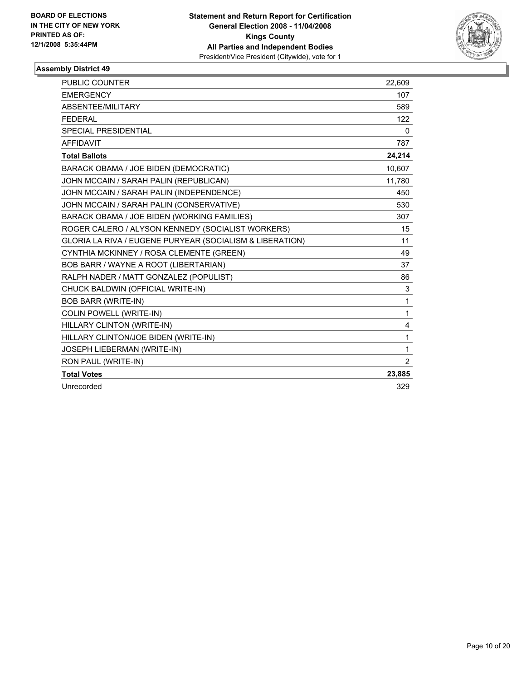

| <b>PUBLIC COUNTER</b>                                    | 22,609         |
|----------------------------------------------------------|----------------|
| <b>EMERGENCY</b>                                         | 107            |
| ABSENTEE/MILITARY                                        | 589            |
| <b>FEDERAL</b>                                           | 122            |
| SPECIAL PRESIDENTIAL                                     | 0              |
| <b>AFFIDAVIT</b>                                         | 787            |
| <b>Total Ballots</b>                                     | 24,214         |
| BARACK OBAMA / JOE BIDEN (DEMOCRATIC)                    | 10.607         |
| JOHN MCCAIN / SARAH PALIN (REPUBLICAN)                   | 11,780         |
| JOHN MCCAIN / SARAH PALIN (INDEPENDENCE)                 | 450            |
| JOHN MCCAIN / SARAH PALIN (CONSERVATIVE)                 | 530            |
| BARACK OBAMA / JOE BIDEN (WORKING FAMILIES)              | 307            |
| ROGER CALERO / ALYSON KENNEDY (SOCIALIST WORKERS)        | 15             |
| GLORIA LA RIVA / EUGENE PURYEAR (SOCIALISM & LIBERATION) | 11             |
| CYNTHIA MCKINNEY / ROSA CLEMENTE (GREEN)                 | 49             |
| BOB BARR / WAYNE A ROOT (LIBERTARIAN)                    | 37             |
| RALPH NADER / MATT GONZALEZ (POPULIST)                   | 86             |
| CHUCK BALDWIN (OFFICIAL WRITE-IN)                        | 3              |
| <b>BOB BARR (WRITE-IN)</b>                               | 1              |
| <b>COLIN POWELL (WRITE-IN)</b>                           | 1              |
| HILLARY CLINTON (WRITE-IN)                               | 4              |
| HILLARY CLINTON/JOE BIDEN (WRITE-IN)                     | 1              |
| JOSEPH LIEBERMAN (WRITE-IN)                              | 1              |
| RON PAUL (WRITE-IN)                                      | $\overline{2}$ |
| <b>Total Votes</b>                                       | 23,885         |
| Unrecorded                                               | 329            |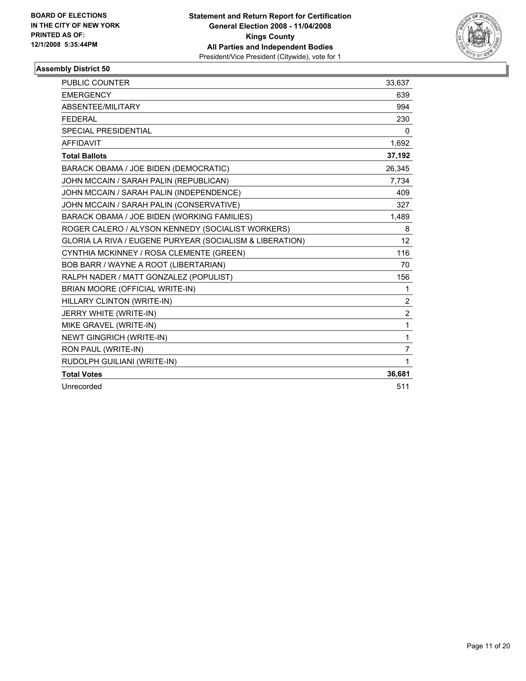

| PUBLIC COUNTER                                           | 33,637         |
|----------------------------------------------------------|----------------|
| <b>EMERGENCY</b>                                         | 639            |
| ABSENTEE/MILITARY                                        | 994            |
| <b>FEDERAL</b>                                           | 230            |
| SPECIAL PRESIDENTIAL                                     | 0              |
| <b>AFFIDAVIT</b>                                         | 1,692          |
| <b>Total Ballots</b>                                     | 37,192         |
| BARACK OBAMA / JOE BIDEN (DEMOCRATIC)                    | 26,345         |
| JOHN MCCAIN / SARAH PALIN (REPUBLICAN)                   | 7.734          |
| JOHN MCCAIN / SARAH PALIN (INDEPENDENCE)                 | 409            |
| JOHN MCCAIN / SARAH PALIN (CONSERVATIVE)                 | 327            |
| BARACK OBAMA / JOE BIDEN (WORKING FAMILIES)              | 1,489          |
| ROGER CALERO / ALYSON KENNEDY (SOCIALIST WORKERS)        | 8              |
| GLORIA LA RIVA / EUGENE PURYEAR (SOCIALISM & LIBERATION) | 12             |
| CYNTHIA MCKINNEY / ROSA CLEMENTE (GREEN)                 | 116            |
| BOB BARR / WAYNE A ROOT (LIBERTARIAN)                    | 70             |
| RALPH NADER / MATT GONZALEZ (POPULIST)                   | 156            |
| BRIAN MOORE (OFFICIAL WRITE-IN)                          | 1              |
| HILLARY CLINTON (WRITE-IN)                               | $\overline{2}$ |
| JERRY WHITE (WRITE-IN)                                   | $\overline{2}$ |
| MIKE GRAVEL (WRITE-IN)                                   | $\mathbf{1}$   |
| <b>NEWT GINGRICH (WRITE-IN)</b>                          | 1              |
| RON PAUL (WRITE-IN)                                      | $\overline{7}$ |
| RUDOLPH GUILIANI (WRITE-IN)                              | 1              |
| <b>Total Votes</b>                                       | 36,681         |
| Unrecorded                                               | 511            |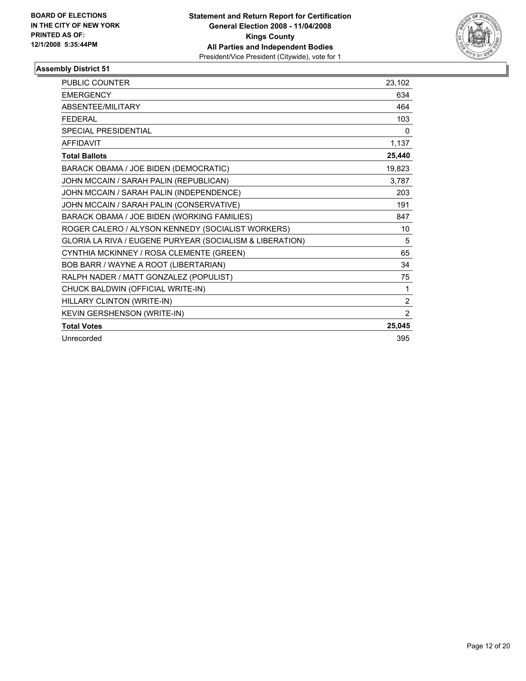

| <b>PUBLIC COUNTER</b>                                    | 23,102         |
|----------------------------------------------------------|----------------|
| <b>EMERGENCY</b>                                         | 634            |
| ABSENTEE/MILITARY                                        | 464            |
| <b>FEDERAL</b>                                           | 103            |
| <b>SPECIAL PRESIDENTIAL</b>                              | 0              |
| <b>AFFIDAVIT</b>                                         | 1,137          |
| <b>Total Ballots</b>                                     | 25,440         |
| BARACK OBAMA / JOE BIDEN (DEMOCRATIC)                    | 19,823         |
| JOHN MCCAIN / SARAH PALIN (REPUBLICAN)                   | 3,787          |
| JOHN MCCAIN / SARAH PALIN (INDEPENDENCE)                 | 203            |
| JOHN MCCAIN / SARAH PALIN (CONSERVATIVE)                 | 191            |
| BARACK OBAMA / JOE BIDEN (WORKING FAMILIES)              | 847            |
| ROGER CALERO / ALYSON KENNEDY (SOCIALIST WORKERS)        | 10             |
| GLORIA LA RIVA / EUGENE PURYEAR (SOCIALISM & LIBERATION) | 5              |
| CYNTHIA MCKINNEY / ROSA CLEMENTE (GREEN)                 | 65             |
| BOB BARR / WAYNE A ROOT (LIBERTARIAN)                    | 34             |
| RALPH NADER / MATT GONZALEZ (POPULIST)                   | 75             |
| CHUCK BALDWIN (OFFICIAL WRITE-IN)                        | 1              |
| HILLARY CLINTON (WRITE-IN)                               | $\overline{2}$ |
| KEVIN GERSHENSON (WRITE-IN)                              | $\overline{2}$ |
| <b>Total Votes</b>                                       | 25,045         |
| Unrecorded                                               | 395            |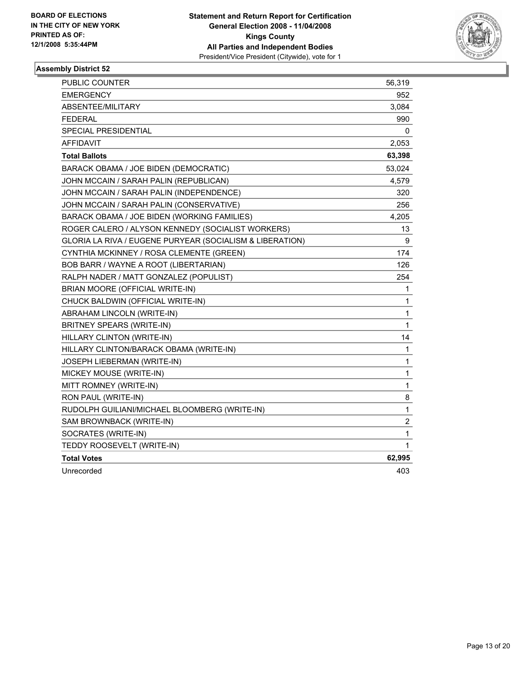

| <b>PUBLIC COUNTER</b>                                    | 56,319         |
|----------------------------------------------------------|----------------|
| <b>EMERGENCY</b>                                         | 952            |
| ABSENTEE/MILITARY                                        | 3,084          |
| <b>FEDERAL</b>                                           | 990            |
| SPECIAL PRESIDENTIAL                                     | 0              |
| <b>AFFIDAVIT</b>                                         | 2,053          |
| <b>Total Ballots</b>                                     | 63,398         |
| BARACK OBAMA / JOE BIDEN (DEMOCRATIC)                    | 53,024         |
| JOHN MCCAIN / SARAH PALIN (REPUBLICAN)                   | 4,579          |
| JOHN MCCAIN / SARAH PALIN (INDEPENDENCE)                 | 320            |
| JOHN MCCAIN / SARAH PALIN (CONSERVATIVE)                 | 256            |
| BARACK OBAMA / JOE BIDEN (WORKING FAMILIES)              | 4,205          |
| ROGER CALERO / ALYSON KENNEDY (SOCIALIST WORKERS)        | 13             |
| GLORIA LA RIVA / EUGENE PURYEAR (SOCIALISM & LIBERATION) | 9              |
| CYNTHIA MCKINNEY / ROSA CLEMENTE (GREEN)                 | 174            |
| BOB BARR / WAYNE A ROOT (LIBERTARIAN)                    | 126            |
| RALPH NADER / MATT GONZALEZ (POPULIST)                   | 254            |
| BRIAN MOORE (OFFICIAL WRITE-IN)                          | 1              |
| CHUCK BALDWIN (OFFICIAL WRITE-IN)                        | 1              |
| ABRAHAM LINCOLN (WRITE-IN)                               | 1              |
| BRITNEY SPEARS (WRITE-IN)                                | 1              |
| HILLARY CLINTON (WRITE-IN)                               | 14             |
| HILLARY CLINTON/BARACK OBAMA (WRITE-IN)                  | 1              |
| JOSEPH LIEBERMAN (WRITE-IN)                              | 1              |
| MICKEY MOUSE (WRITE-IN)                                  | 1              |
| MITT ROMNEY (WRITE-IN)                                   | 1              |
| RON PAUL (WRITE-IN)                                      | 8              |
| RUDOLPH GUILIANI/MICHAEL BLOOMBERG (WRITE-IN)            | 1              |
| SAM BROWNBACK (WRITE-IN)                                 | $\overline{c}$ |
| SOCRATES (WRITE-IN)                                      | 1              |
| TEDDY ROOSEVELT (WRITE-IN)                               | 1              |
| <b>Total Votes</b>                                       | 62,995         |
| Unrecorded                                               | 403            |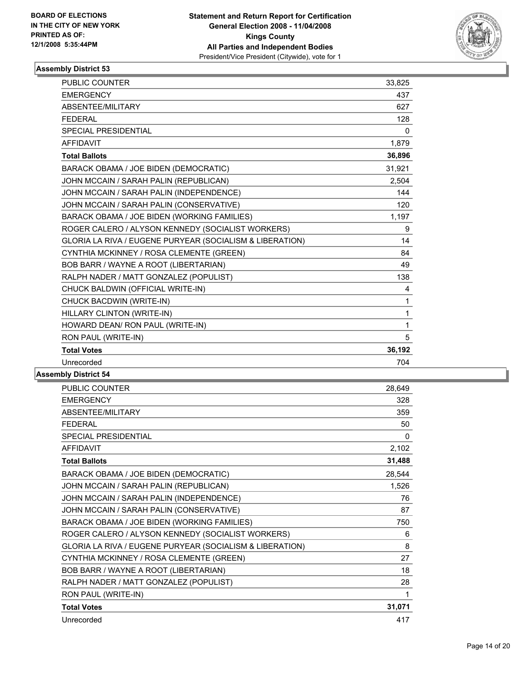

| PUBLIC COUNTER                                           | 33,825 |
|----------------------------------------------------------|--------|
| <b>EMERGENCY</b>                                         | 437    |
| ABSENTEE/MILITARY                                        | 627    |
| <b>FEDERAL</b>                                           | 128    |
| <b>SPECIAL PRESIDENTIAL</b>                              | 0      |
| <b>AFFIDAVIT</b>                                         | 1,879  |
| <b>Total Ballots</b>                                     | 36,896 |
| BARACK OBAMA / JOE BIDEN (DEMOCRATIC)                    | 31,921 |
| JOHN MCCAIN / SARAH PALIN (REPUBLICAN)                   | 2,504  |
| JOHN MCCAIN / SARAH PALIN (INDEPENDENCE)                 | 144    |
| JOHN MCCAIN / SARAH PALIN (CONSERVATIVE)                 | 120    |
| BARACK OBAMA / JOE BIDEN (WORKING FAMILIES)              | 1,197  |
| ROGER CALERO / ALYSON KENNEDY (SOCIALIST WORKERS)        | 9      |
| GLORIA LA RIVA / EUGENE PURYEAR (SOCIALISM & LIBERATION) | 14     |
| CYNTHIA MCKINNEY / ROSA CLEMENTE (GREEN)                 | 84     |
| BOB BARR / WAYNE A ROOT (LIBERTARIAN)                    | 49     |
| RALPH NADER / MATT GONZALEZ (POPULIST)                   | 138    |
| CHUCK BALDWIN (OFFICIAL WRITE-IN)                        | 4      |
| CHUCK BACDWIN (WRITE-IN)                                 | 1      |
| HILLARY CLINTON (WRITE-IN)                               | 1      |
| HOWARD DEAN/ RON PAUL (WRITE-IN)                         | 1      |
| RON PAUL (WRITE-IN)                                      | 5      |
| <b>Total Votes</b>                                       | 36,192 |
| Unrecorded                                               | 704    |
| nhlv Dietri <i>r</i> t 54                                |        |

| PUBLIC COUNTER                                           | 28,649 |
|----------------------------------------------------------|--------|
| <b>EMERGENCY</b>                                         | 328    |
| ABSENTEE/MILITARY                                        | 359    |
| <b>FEDERAL</b>                                           | 50     |
| <b>SPECIAL PRESIDENTIAL</b>                              | 0      |
| <b>AFFIDAVIT</b>                                         | 2,102  |
| <b>Total Ballots</b>                                     | 31,488 |
| BARACK OBAMA / JOE BIDEN (DEMOCRATIC)                    | 28,544 |
| JOHN MCCAIN / SARAH PALIN (REPUBLICAN)                   | 1,526  |
| JOHN MCCAIN / SARAH PALIN (INDEPENDENCE)                 | 76     |
| JOHN MCCAIN / SARAH PALIN (CONSERVATIVE)                 | 87     |
| BARACK OBAMA / JOE BIDEN (WORKING FAMILIES)              | 750    |
| ROGER CALERO / ALYSON KENNEDY (SOCIALIST WORKERS)        | 6      |
| GLORIA LA RIVA / EUGENE PURYEAR (SOCIALISM & LIBERATION) | 8      |
| CYNTHIA MCKINNEY / ROSA CLEMENTE (GREEN)                 | 27     |
| BOB BARR / WAYNE A ROOT (LIBERTARIAN)                    | 18     |
| RALPH NADER / MATT GONZALEZ (POPULIST)                   | 28     |
| RON PAUL (WRITE-IN)                                      | 1      |
| <b>Total Votes</b>                                       | 31,071 |
| Unrecorded                                               | 417    |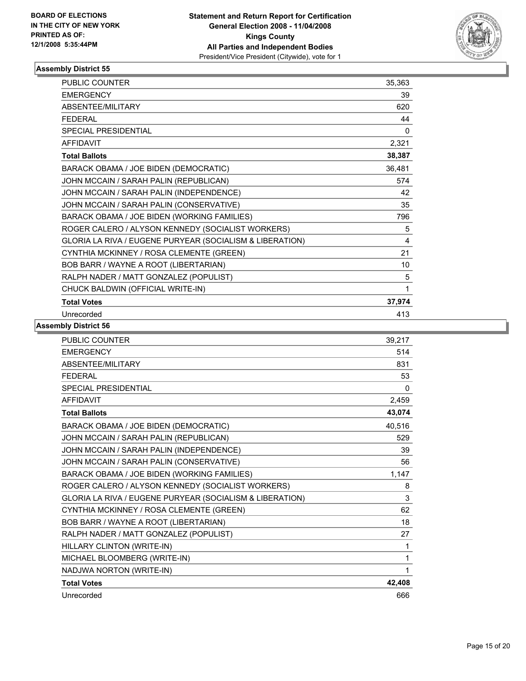

| <b>PUBLIC COUNTER</b>                                    | 35,363 |
|----------------------------------------------------------|--------|
| <b>EMERGENCY</b>                                         | 39     |
| ABSENTEE/MILITARY                                        | 620    |
| <b>FEDERAL</b>                                           | 44     |
| <b>SPECIAL PRESIDENTIAL</b>                              | 0      |
| <b>AFFIDAVIT</b>                                         | 2,321  |
| <b>Total Ballots</b>                                     | 38,387 |
| BARACK OBAMA / JOE BIDEN (DEMOCRATIC)                    | 36,481 |
| JOHN MCCAIN / SARAH PALIN (REPUBLICAN)                   | 574    |
| JOHN MCCAIN / SARAH PALIN (INDEPENDENCE)                 | 42     |
| JOHN MCCAIN / SARAH PALIN (CONSERVATIVE)                 | 35     |
| BARACK OBAMA / JOE BIDEN (WORKING FAMILIES)              | 796    |
| ROGER CALERO / ALYSON KENNEDY (SOCIALIST WORKERS)        | 5      |
| GLORIA LA RIVA / EUGENE PURYEAR (SOCIALISM & LIBERATION) | 4      |
| CYNTHIA MCKINNEY / ROSA CLEMENTE (GREEN)                 | 21     |
| BOB BARR / WAYNE A ROOT (LIBERTARIAN)                    | 10     |
| RALPH NADER / MATT GONZALEZ (POPULIST)                   | 5      |
| CHUCK BALDWIN (OFFICIAL WRITE-IN)                        | 1      |
| <b>Total Votes</b>                                       | 37,974 |
| Unrecorded                                               | 413    |

| <b>PUBLIC COUNTER</b>                                    | 39,217   |
|----------------------------------------------------------|----------|
| <b>EMERGENCY</b>                                         | 514      |
| ABSENTEE/MILITARY                                        | 831      |
| <b>FEDERAL</b>                                           | 53       |
| <b>SPECIAL PRESIDENTIAL</b>                              | $\Omega$ |
| <b>AFFIDAVIT</b>                                         | 2,459    |
| <b>Total Ballots</b>                                     | 43,074   |
| BARACK OBAMA / JOE BIDEN (DEMOCRATIC)                    | 40,516   |
| JOHN MCCAIN / SARAH PALIN (REPUBLICAN)                   | 529      |
| JOHN MCCAIN / SARAH PALIN (INDEPENDENCE)                 | 39       |
| JOHN MCCAIN / SARAH PALIN (CONSERVATIVE)                 | 56       |
| BARACK OBAMA / JOE BIDEN (WORKING FAMILIES)              | 1,147    |
| ROGER CALERO / ALYSON KENNEDY (SOCIALIST WORKERS)        | 8        |
| GLORIA LA RIVA / EUGENE PURYEAR (SOCIALISM & LIBERATION) | 3        |
| CYNTHIA MCKINNEY / ROSA CLEMENTE (GREEN)                 | 62       |
| BOB BARR / WAYNE A ROOT (LIBERTARIAN)                    | 18       |
| RALPH NADER / MATT GONZALEZ (POPULIST)                   | 27       |
| HILLARY CLINTON (WRITE-IN)                               | 1        |
| MICHAEL BLOOMBERG (WRITE-IN)                             | 1        |
| NADJWA NORTON (WRITE-IN)                                 | 1        |
| <b>Total Votes</b>                                       | 42,408   |
| Unrecorded                                               | 666      |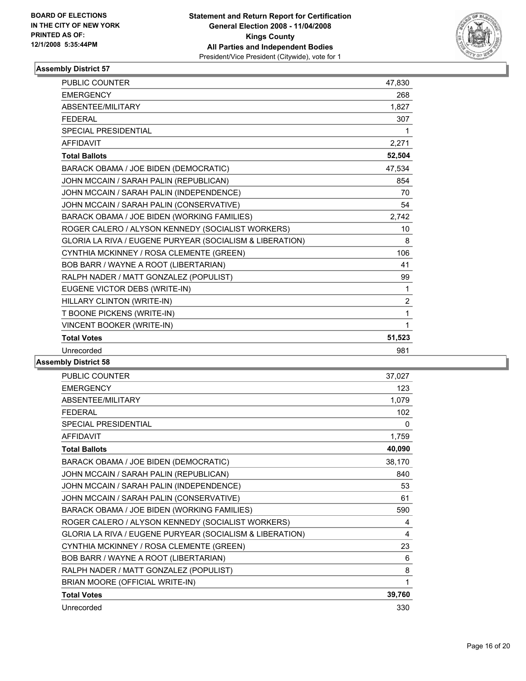

| <b>PUBLIC COUNTER</b>                                    | 47,830         |
|----------------------------------------------------------|----------------|
| <b>EMERGENCY</b>                                         | 268            |
| ABSENTEE/MILITARY                                        | 1,827          |
| <b>FEDERAL</b>                                           | 307            |
| <b>SPECIAL PRESIDENTIAL</b>                              | 1              |
| <b>AFFIDAVIT</b>                                         | 2,271          |
| <b>Total Ballots</b>                                     | 52,504         |
| BARACK OBAMA / JOE BIDEN (DEMOCRATIC)                    | 47,534         |
| JOHN MCCAIN / SARAH PALIN (REPUBLICAN)                   | 854            |
| JOHN MCCAIN / SARAH PALIN (INDEPENDENCE)                 | 70             |
| JOHN MCCAIN / SARAH PALIN (CONSERVATIVE)                 | 54             |
| BARACK OBAMA / JOE BIDEN (WORKING FAMILIES)              | 2,742          |
| ROGER CALERO / ALYSON KENNEDY (SOCIALIST WORKERS)        | 10             |
| GLORIA LA RIVA / EUGENE PURYEAR (SOCIALISM & LIBERATION) | 8              |
| CYNTHIA MCKINNEY / ROSA CLEMENTE (GREEN)                 | 106            |
| BOB BARR / WAYNE A ROOT (LIBERTARIAN)                    | 41             |
| RALPH NADER / MATT GONZALEZ (POPULIST)                   | 99             |
| EUGENE VICTOR DEBS (WRITE-IN)                            | 1              |
| HILLARY CLINTON (WRITE-IN)                               | $\overline{2}$ |
| T BOONE PICKENS (WRITE-IN)                               | 1              |
| VINCENT BOOKER (WRITE-IN)                                | 1              |
| <b>Total Votes</b>                                       | 51,523         |
| Unrecorded                                               | 981            |

| <b>PUBLIC COUNTER</b>                                    | 37,027 |
|----------------------------------------------------------|--------|
| <b>EMERGENCY</b>                                         | 123    |
| ABSENTEE/MILITARY                                        | 1,079  |
| <b>FEDERAL</b>                                           | 102    |
| <b>SPECIAL PRESIDENTIAL</b>                              | 0      |
| <b>AFFIDAVIT</b>                                         | 1,759  |
| <b>Total Ballots</b>                                     | 40,090 |
| BARACK OBAMA / JOE BIDEN (DEMOCRATIC)                    | 38,170 |
| JOHN MCCAIN / SARAH PALIN (REPUBLICAN)                   | 840    |
| JOHN MCCAIN / SARAH PALIN (INDEPENDENCE)                 | 53     |
| JOHN MCCAIN / SARAH PALIN (CONSERVATIVE)                 | 61     |
| BARACK OBAMA / JOE BIDEN (WORKING FAMILIES)              | 590    |
| ROGER CALERO / ALYSON KENNEDY (SOCIALIST WORKERS)        | 4      |
| GLORIA LA RIVA / EUGENE PURYEAR (SOCIALISM & LIBERATION) | 4      |
| CYNTHIA MCKINNEY / ROSA CLEMENTE (GREEN)                 | 23     |
| BOB BARR / WAYNE A ROOT (LIBERTARIAN)                    | 6      |
| RALPH NADER / MATT GONZALEZ (POPULIST)                   | 8      |
| BRIAN MOORE (OFFICIAL WRITE-IN)                          | 1      |
| <b>Total Votes</b>                                       | 39,760 |
| Unrecorded                                               | 330    |
|                                                          |        |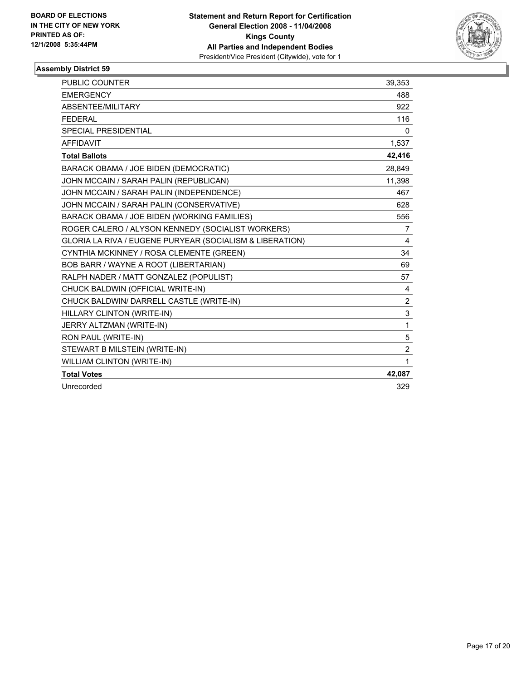

| PUBLIC COUNTER                                           | 39,353         |
|----------------------------------------------------------|----------------|
| <b>EMERGENCY</b>                                         | 488            |
| ABSENTEE/MILITARY                                        | 922            |
| <b>FEDERAL</b>                                           | 116            |
| SPECIAL PRESIDENTIAL                                     | 0              |
| <b>AFFIDAVIT</b>                                         | 1,537          |
| <b>Total Ballots</b>                                     | 42,416         |
| BARACK OBAMA / JOE BIDEN (DEMOCRATIC)                    | 28.849         |
| JOHN MCCAIN / SARAH PALIN (REPUBLICAN)                   | 11,398         |
| JOHN MCCAIN / SARAH PALIN (INDEPENDENCE)                 | 467            |
| JOHN MCCAIN / SARAH PALIN (CONSERVATIVE)                 | 628            |
| BARACK OBAMA / JOE BIDEN (WORKING FAMILIES)              | 556            |
| ROGER CALERO / ALYSON KENNEDY (SOCIALIST WORKERS)        | 7              |
| GLORIA LA RIVA / EUGENE PURYEAR (SOCIALISM & LIBERATION) | 4              |
| CYNTHIA MCKINNEY / ROSA CLEMENTE (GREEN)                 | 34             |
| BOB BARR / WAYNE A ROOT (LIBERTARIAN)                    | 69             |
| RALPH NADER / MATT GONZALEZ (POPULIST)                   | 57             |
| CHUCK BALDWIN (OFFICIAL WRITE-IN)                        | 4              |
| CHUCK BALDWIN/ DARRELL CASTLE (WRITE-IN)                 | $\overline{2}$ |
| HILLARY CLINTON (WRITE-IN)                               | 3              |
| JERRY ALTZMAN (WRITE-IN)                                 | $\mathbf{1}$   |
| RON PAUL (WRITE-IN)                                      | 5              |
| STEWART B MILSTEIN (WRITE-IN)                            | $\overline{2}$ |
| WILLIAM CLINTON (WRITE-IN)                               | 1              |
| <b>Total Votes</b>                                       | 42,087         |
| Unrecorded                                               | 329            |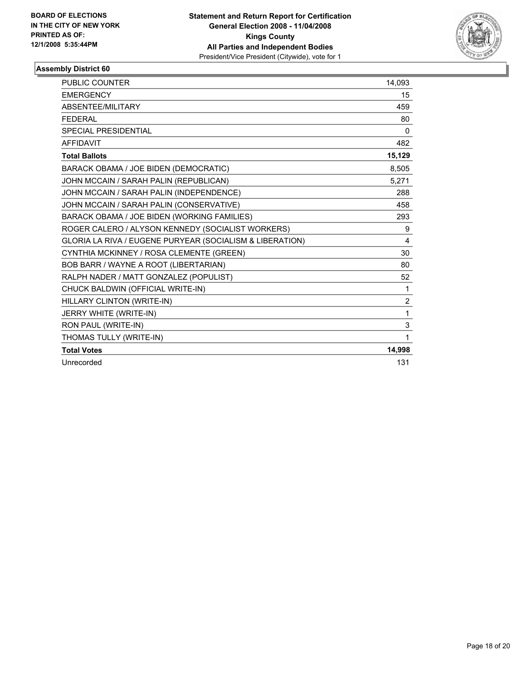

| PUBLIC COUNTER                                           | 14,093         |
|----------------------------------------------------------|----------------|
| <b>EMERGENCY</b>                                         | 15             |
| ABSENTEE/MILITARY                                        | 459            |
| <b>FEDERAL</b>                                           | 80             |
| <b>SPECIAL PRESIDENTIAL</b>                              | 0              |
| <b>AFFIDAVIT</b>                                         | 482            |
| <b>Total Ballots</b>                                     | 15,129         |
| BARACK OBAMA / JOE BIDEN (DEMOCRATIC)                    | 8,505          |
| JOHN MCCAIN / SARAH PALIN (REPUBLICAN)                   | 5,271          |
| JOHN MCCAIN / SARAH PALIN (INDEPENDENCE)                 | 288            |
| JOHN MCCAIN / SARAH PALIN (CONSERVATIVE)                 | 458            |
| BARACK OBAMA / JOE BIDEN (WORKING FAMILIES)              | 293            |
| ROGER CALERO / ALYSON KENNEDY (SOCIALIST WORKERS)        | 9              |
| GLORIA LA RIVA / EUGENE PURYEAR (SOCIALISM & LIBERATION) | $\overline{4}$ |
| CYNTHIA MCKINNEY / ROSA CLEMENTE (GREEN)                 | 30             |
| BOB BARR / WAYNE A ROOT (LIBERTARIAN)                    | 80             |
| RALPH NADER / MATT GONZALEZ (POPULIST)                   | 52             |
| CHUCK BALDWIN (OFFICIAL WRITE-IN)                        | 1              |
| HILLARY CLINTON (WRITE-IN)                               | $\overline{2}$ |
| JERRY WHITE (WRITE-IN)                                   | 1              |
| RON PAUL (WRITE-IN)                                      | 3              |
| THOMAS TULLY (WRITE-IN)                                  | 1              |
| <b>Total Votes</b>                                       | 14,998         |
| Unrecorded                                               | 131            |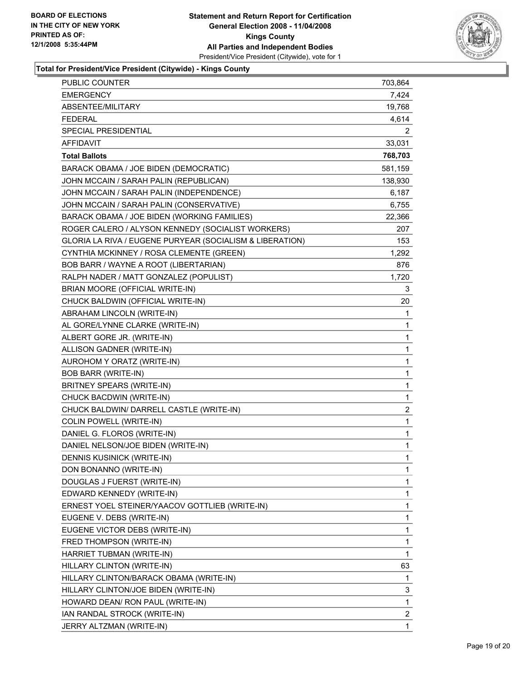

#### **Total for President/Vice President (Citywide) - Kings County**

| PUBLIC COUNTER                                           | 703,864                 |
|----------------------------------------------------------|-------------------------|
| <b>EMERGENCY</b>                                         | 7,424                   |
| ABSENTEE/MILITARY                                        | 19,768                  |
| <b>FEDERAL</b>                                           | 4,614                   |
| SPECIAL PRESIDENTIAL                                     | 2                       |
| <b>AFFIDAVIT</b>                                         | 33,031                  |
| <b>Total Ballots</b>                                     | 768,703                 |
| BARACK OBAMA / JOE BIDEN (DEMOCRATIC)                    | 581,159                 |
| JOHN MCCAIN / SARAH PALIN (REPUBLICAN)                   | 138,930                 |
| JOHN MCCAIN / SARAH PALIN (INDEPENDENCE)                 | 6,187                   |
| JOHN MCCAIN / SARAH PALIN (CONSERVATIVE)                 | 6,755                   |
| BARACK OBAMA / JOE BIDEN (WORKING FAMILIES)              | 22,366                  |
| ROGER CALERO / ALYSON KENNEDY (SOCIALIST WORKERS)        | 207                     |
| GLORIA LA RIVA / EUGENE PURYEAR (SOCIALISM & LIBERATION) | 153                     |
| CYNTHIA MCKINNEY / ROSA CLEMENTE (GREEN)                 | 1,292                   |
| BOB BARR / WAYNE A ROOT (LIBERTARIAN)                    | 876                     |
| RALPH NADER / MATT GONZALEZ (POPULIST)                   | 1,720                   |
| BRIAN MOORE (OFFICIAL WRITE-IN)                          | 3                       |
| CHUCK BALDWIN (OFFICIAL WRITE-IN)                        | 20                      |
| ABRAHAM LINCOLN (WRITE-IN)                               | 1                       |
| AL GORE/LYNNE CLARKE (WRITE-IN)                          | 1                       |
| ALBERT GORE JR. (WRITE-IN)                               | 1                       |
| ALLISON GADNER (WRITE-IN)                                | 1                       |
| AUROHOM Y ORATZ (WRITE-IN)                               | 1                       |
| <b>BOB BARR (WRITE-IN)</b>                               | 1                       |
| BRITNEY SPEARS (WRITE-IN)                                | 1                       |
| CHUCK BACDWIN (WRITE-IN)                                 | 1                       |
| CHUCK BALDWIN/ DARRELL CASTLE (WRITE-IN)                 | $\overline{\mathbf{c}}$ |
| COLIN POWELL (WRITE-IN)                                  | 1                       |
| DANIEL G. FLOROS (WRITE-IN)                              | 1                       |
| DANIEL NELSON/JOE BIDEN (WRITE-IN)                       | 1                       |
| <b>DENNIS KUSINICK (WRITE-IN)</b>                        | 1                       |
| DON BONANNO (WRITE-IN)                                   | 1                       |
| DOUGLAS J FUERST (WRITE-IN)                              | 1                       |
| EDWARD KENNEDY (WRITE-IN)                                | 1                       |
| ERNEST YOEL STEINER/YAACOV GOTTLIEB (WRITE-IN)           | 1                       |
| EUGENE V. DEBS (WRITE-IN)                                | 1                       |
| EUGENE VICTOR DEBS (WRITE-IN)                            | 1                       |
| FRED THOMPSON (WRITE-IN)                                 | 1                       |
| HARRIET TUBMAN (WRITE-IN)                                | 1                       |
| HILLARY CLINTON (WRITE-IN)                               | 63                      |
| HILLARY CLINTON/BARACK OBAMA (WRITE-IN)                  | 1                       |
| HILLARY CLINTON/JOE BIDEN (WRITE-IN)                     | 3                       |
| HOWARD DEAN/ RON PAUL (WRITE-IN)                         | $\mathbf 1$             |
| IAN RANDAL STROCK (WRITE-IN)                             | $\overline{\mathbf{c}}$ |
| JERRY ALTZMAN (WRITE-IN)                                 | 1                       |